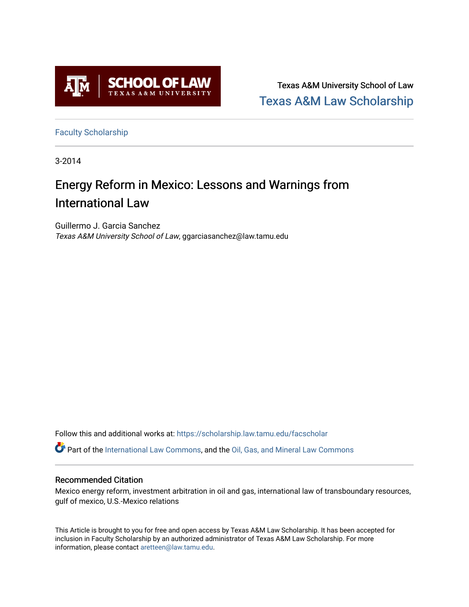

Texas A&M University School of Law [Texas A&M Law Scholarship](https://scholarship.law.tamu.edu/) 

[Faculty Scholarship](https://scholarship.law.tamu.edu/facscholar)

3-2014

# Energy Reform in Mexico: Lessons and Warnings from International Law

Guillermo J. Garcia Sanchez Texas A&M University School of Law, ggarciasanchez@law.tamu.edu

Follow this and additional works at: [https://scholarship.law.tamu.edu/facscholar](https://scholarship.law.tamu.edu/facscholar?utm_source=scholarship.law.tamu.edu%2Ffacscholar%2F900&utm_medium=PDF&utm_campaign=PDFCoverPages) 

Part of the [International Law Commons,](http://network.bepress.com/hgg/discipline/609?utm_source=scholarship.law.tamu.edu%2Ffacscholar%2F900&utm_medium=PDF&utm_campaign=PDFCoverPages) and the [Oil, Gas, and Mineral Law Commons](http://network.bepress.com/hgg/discipline/864?utm_source=scholarship.law.tamu.edu%2Ffacscholar%2F900&utm_medium=PDF&utm_campaign=PDFCoverPages)

#### Recommended Citation

Mexico energy reform, investment arbitration in oil and gas, international law of transboundary resources, gulf of mexico, U.S.-Mexico relations

This Article is brought to you for free and open access by Texas A&M Law Scholarship. It has been accepted for inclusion in Faculty Scholarship by an authorized administrator of Texas A&M Law Scholarship. For more information, please contact [aretteen@law.tamu.edu](mailto:aretteen@law.tamu.edu).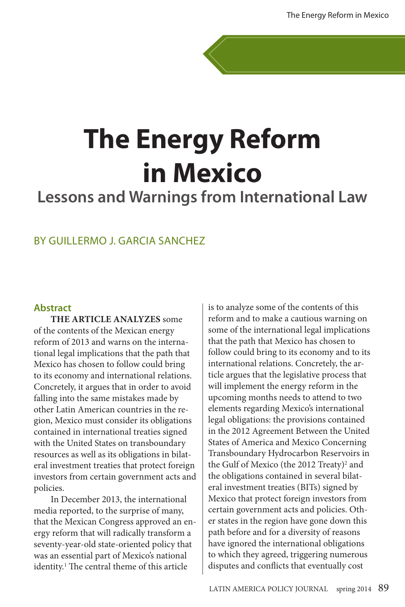# **The Energy Reform in Mexico**

## **Lessons and Warnings from International Law**

### BY GUILLERMO J. GARCIA SANCHEZ

#### **Abstract**

**THE ARTICLE ANALYZES** some of the contents of the Mexican energy reform of 2013 and warns on the international legal implications that the path that Mexico has chosen to follow could bring to its economy and international relations. Concretely, it argues that in order to avoid falling into the same mistakes made by other Latin American countries in the region, Mexico must consider its obligations contained in international treaties signed with the United States on transboundary resources as well as its obligations in bilateral investment treaties that protect foreign investors from certain government acts and policies.

In December 2013, the international media reported, to the surprise of many, that the Mexican Congress approved an energy reform that will radically transform a seventy-year-old state-oriented policy that was an essential part of Mexico's national identity.<sup>1</sup> The central theme of this article

is to analyze some of the contents of this reform and to make a cautious warning on some of the international legal implications that the path that Mexico has chosen to follow could bring to its economy and to its international relations. Concretely, the article argues that the legislative process that will implement the energy reform in the upcoming months needs to attend to two elements regarding Mexico's international legal obligations: the provisions contained in the 2012 Agreement Between the United States of America and Mexico Concerning Transboundary Hydrocarbon Reservoirs in the Gulf of Mexico (the 2012 Treaty)<sup>2</sup> and the obligations contained in several bilateral investment treaties (BITs) signed by Mexico that protect foreign investors from certain government acts and policies. Other states in the region have gone down this path before and for a diversity of reasons have ignored the international obligations to which they agreed, triggering numerous disputes and conflicts that eventually cost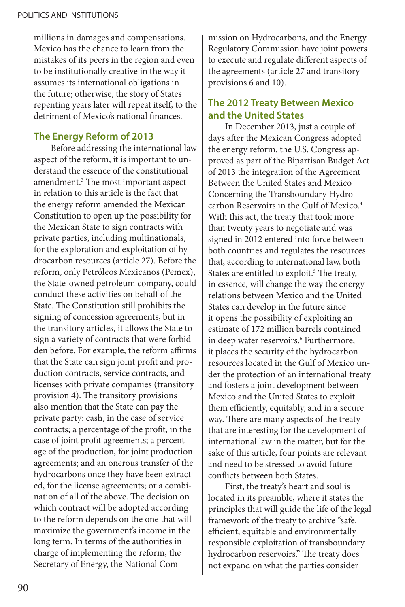millions in damages and compensations. Mexico has the chance to learn from the mistakes of its peers in the region and even to be institutionally creative in the way it assumes its international obligations in the future; otherwise, the story of States repenting years later will repeat itself, to the detriment of Mexico's national finances.

#### **The Energy Reform of 2013**

Before addressing the international law aspect of the reform, it is important to understand the essence of the constitutional amendment.3 The most important aspect in relation to this article is the fact that the energy reform amended the Mexican Constitution to open up the possibility for the Mexican State to sign contracts with private parties, including multinationals, for the exploration and exploitation of hydrocarbon resources (article 27). Before the reform, only Petróleos Mexicanos (Pemex), the State-owned petroleum company, could conduct these activities on behalf of the State. The Constitution still prohibits the signing of concession agreements, but in the transitory articles, it allows the State to sign a variety of contracts that were forbidden before. For example, the reform affirms that the State can sign joint profit and production contracts, service contracts, and licenses with private companies (transitory provision 4). The transitory provisions also mention that the State can pay the private party: cash, in the case of service contracts; a percentage of the profit, in the case of joint profit agreements; a percentage of the production, for joint production agreements; and an onerous transfer of the hydrocarbons once they have been extracted, for the license agreements; or a combination of all of the above. The decision on which contract will be adopted according to the reform depends on the one that will maximize the government's income in the long term. In terms of the authorities in charge of implementing the reform, the Secretary of Energy, the National Commission on Hydrocarbons, and the Energy Regulatory Commission have joint powers to execute and regulate different aspects of the agreements (article 27 and transitory provisions 6 and 10).

### **The 2012 Treaty Between Mexico and the United States**

In December 2013, just a couple of days after the Mexican Congress adopted the energy reform, the U.S. Congress approved as part of the Bipartisan Budget Act of 2013 the integration of the Agreement Between the United States and Mexico Concerning the Transboundary Hydrocarbon Reservoirs in the Gulf of Mexico.4 With this act, the treaty that took more than twenty years to negotiate and was signed in 2012 entered into force between both countries and regulates the resources that, according to international law, both States are entitled to exploit.<sup>5</sup> The treaty, in essence, will change the way the energy relations between Mexico and the United States can develop in the future since it opens the possibility of exploiting an estimate of 172 million barrels contained in deep water reservoirs.<sup>6</sup> Furthermore, it places the security of the hydrocarbon resources located in the Gulf of Mexico under the protection of an international treaty and fosters a joint development between Mexico and the United States to exploit them efficiently, equitably, and in a secure way. There are many aspects of the treaty that are interesting for the development of international law in the matter, but for the sake of this article, four points are relevant and need to be stressed to avoid future conflicts between both States.

First, the treaty's heart and soul is located in its preamble, where it states the principles that will guide the life of the legal framework of the treaty to archive "safe, efficient, equitable and environmentally responsible exploitation of transboundary hydrocarbon reservoirs." The treaty does not expand on what the parties consider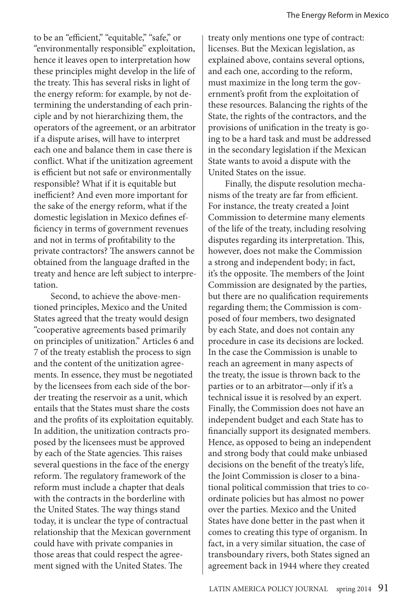to be an "efficient," "equitable," "safe," or "environmentally responsible" exploitation, hence it leaves open to interpretation how these principles might develop in the life of the treaty. This has several risks in light of the energy reform: for example, by not determining the understanding of each principle and by not hierarchizing them, the operators of the agreement, or an arbitrator if a dispute arises, will have to interpret each one and balance them in case there is conflict. What if the unitization agreement is efficient but not safe or environmentally responsible? What if it is equitable but inefficient? And even more important for the sake of the energy reform, what if the domestic legislation in Mexico defines efficiency in terms of government revenues and not in terms of profitability to the private contractors? The answers cannot be obtained from the language drafted in the treaty and hence are left subject to interpretation.

Second, to achieve the above-mentioned principles, Mexico and the United States agreed that the treaty would design "cooperative agreements based primarily on principles of unitization." Articles 6 and 7 of the treaty establish the process to sign and the content of the unitization agreements. In essence, they must be negotiated by the licensees from each side of the border treating the reservoir as a unit, which entails that the States must share the costs and the profits of its exploitation equitably. In addition, the unitization contracts proposed by the licensees must be approved by each of the State agencies. This raises several questions in the face of the energy reform. The regulatory framework of the reform must include a chapter that deals with the contracts in the borderline with the United States. The way things stand today, it is unclear the type of contractual relationship that the Mexican government could have with private companies in those areas that could respect the agreement signed with the United States. The

treaty only mentions one type of contract: licenses. But the Mexican legislation, as explained above, contains several options, and each one, according to the reform, must maximize in the long term the government's profit from the exploitation of these resources. Balancing the rights of the State, the rights of the contractors, and the provisions of unification in the treaty is going to be a hard task and must be addressed in the secondary legislation if the Mexican State wants to avoid a dispute with the United States on the issue.

Finally, the dispute resolution mechanisms of the treaty are far from efficient. For instance, the treaty created a Joint Commission to determine many elements of the life of the treaty, including resolving disputes regarding its interpretation. This, however, does not make the Commission a strong and independent body; in fact, it's the opposite. The members of the Joint Commission are designated by the parties, but there are no qualification requirements regarding them; the Commission is composed of four members, two designated by each State, and does not contain any procedure in case its decisions are locked. In the case the Commission is unable to reach an agreement in many aspects of the treaty, the issue is thrown back to the parties or to an arbitrator—only if it's a technical issue it is resolved by an expert. Finally, the Commission does not have an independent budget and each State has to financially support its designated members. Hence, as opposed to being an independent and strong body that could make unbiased decisions on the benefit of the treaty's life, the Joint Commission is closer to a binational political commission that tries to coordinate policies but has almost no power over the parties. Mexico and the United States have done better in the past when it comes to creating this type of organism. In fact, in a very similar situation, the case of transboundary rivers, both States signed an agreement back in 1944 where they created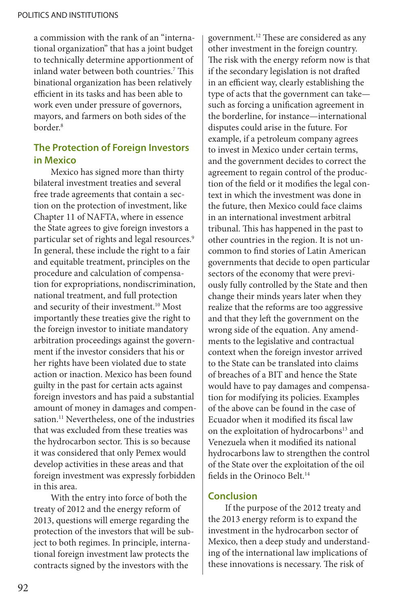a commission with the rank of an "international organization" that has a joint budget to technically determine apportionment of inland water between both countries.7 This binational organization has been relatively efficient in its tasks and has been able to work even under pressure of governors, mayors, and farmers on both sides of the border.8

#### **The Protection of Foreign Investors in Mexico**

Mexico has signed more than thirty bilateral investment treaties and several free trade agreements that contain a section on the protection of investment, like Chapter 11 of NAFTA, where in essence the State agrees to give foreign investors a particular set of rights and legal resources.<sup>9</sup> In general, these include the right to a fair and equitable treatment, principles on the procedure and calculation of compensation for expropriations, nondiscrimination, national treatment, and full protection and security of their investment.<sup>10</sup> Most importantly these treaties give the right to the foreign investor to initiate mandatory arbitration proceedings against the government if the investor considers that his or her rights have been violated due to state action or inaction. Mexico has been found guilty in the past for certain acts against foreign investors and has paid a substantial amount of money in damages and compensation.<sup>11</sup> Nevertheless, one of the industries that was excluded from these treaties was the hydrocarbon sector. This is so because it was considered that only Pemex would develop activities in these areas and that foreign investment was expressly forbidden in this area.

With the entry into force of both the treaty of 2012 and the energy reform of 2013, questions will emerge regarding the protection of the investors that will be subject to both regimes. In principle, international foreign investment law protects the contracts signed by the investors with the

government.12 These are considered as any other investment in the foreign country. The risk with the energy reform now is that if the secondary legislation is not drafted in an efficient way, clearly establishing the type of acts that the government can take such as forcing a unification agreement in the borderline, for instance—international disputes could arise in the future. For example, if a petroleum company agrees to invest in Mexico under certain terms, and the government decides to correct the agreement to regain control of the production of the field or it modifies the legal context in which the investment was done in the future, then Mexico could face claims in an international investment arbitral tribunal. This has happened in the past to other countries in the region. It is not uncommon to find stories of Latin American governments that decide to open particular sectors of the economy that were previously fully controlled by the State and then change their minds years later when they realize that the reforms are too aggressive and that they left the government on the wrong side of the equation. Any amendments to the legislative and contractual context when the foreign investor arrived to the State can be translated into claims of breaches of a BIT and hence the State would have to pay damages and compensation for modifying its policies. Examples of the above can be found in the case of Ecuador when it modified its fiscal law on the exploitation of hydrocarbons<sup>13</sup> and Venezuela when it modified its national hydrocarbons law to strengthen the control of the State over the exploitation of the oil fields in the Orinoco Belt.<sup>14</sup>

#### **Conclusion**

If the purpose of the 2012 treaty and the 2013 energy reform is to expand the investment in the hydrocarbon sector of Mexico, then a deep study and understanding of the international law implications of these innovations is necessary. The risk of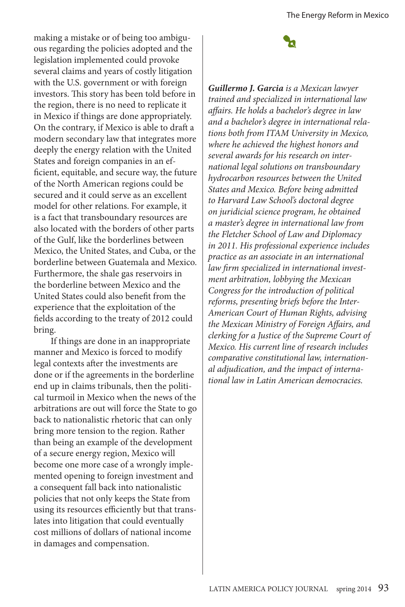making a mistake or of being too ambiguous regarding the policies adopted and the legislation implemented could provoke several claims and years of costly litigation with the U.S. government or with foreign investors. This story has been told before in the region, there is no need to replicate it in Mexico if things are done appropriately. On the contrary, if Mexico is able to draft a modern secondary law that integrates more deeply the energy relation with the United States and foreign companies in an efficient, equitable, and secure way, the future of the North American regions could be secured and it could serve as an excellent model for other relations. For example, it is a fact that transboundary resources are also located with the borders of other parts of the Gulf, like the borderlines between Mexico, the United States, and Cuba, or the borderline between Guatemala and Mexico. Furthermore, the shale gas reservoirs in the borderline between Mexico and the United States could also benefit from the experience that the exploitation of the fields according to the treaty of 2012 could bring.

If things are done in an inappropriate manner and Mexico is forced to modify legal contexts after the investments are done or if the agreements in the borderline end up in claims tribunals, then the political turmoil in Mexico when the news of the arbitrations are out will force the State to go back to nationalistic rhetoric that can only bring more tension to the region. Rather than being an example of the development of a secure energy region, Mexico will become one more case of a wrongly implemented opening to foreign investment and a consequent fall back into nationalistic policies that not only keeps the State from using its resources efficiently but that translates into litigation that could eventually cost millions of dollars of national income in damages and compensation.

*Guillermo J. Garcia is a Mexican lawyer trained and specialized in international law affairs. He holds a bachelor's degree in law and a bachelor's degree in international relations both from ITAM University in Mexico, where he achieved the highest honors and several awards for his research on international legal solutions on transboundary hydrocarbon resources between the United States and Mexico. Before being admitted to Harvard Law School's doctoral degree on juridicial science program, he obtained a master's degree in international law from the Fletcher School of Law and Diplomacy in 2011. His professional experience includes practice as an associate in an international law firm specialized in international investment arbitration, lobbying the Mexican Congress for the introduction of political reforms, presenting briefs before the Inter-American Court of Human Rights, advising the Mexican Ministry of Foreign Affairs, and clerking for a Justice of the Supreme Court of Mexico. His current line of research includes comparative constitutional law, international adjudication, and the impact of international law in Latin American democracies.*